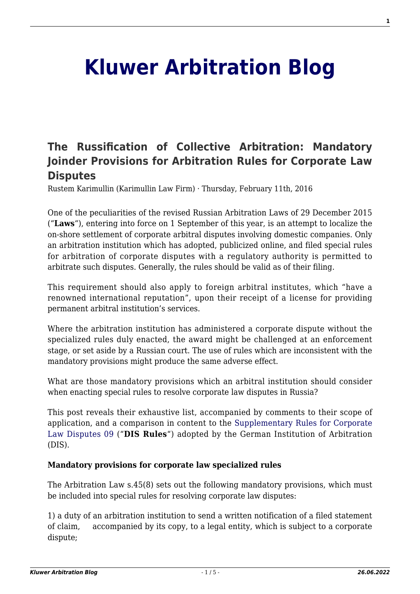# **[Kluwer Arbitration Blog](http://arbitrationblog.kluwerarbitration.com/)**

## **[The Russification of Collective Arbitration: Mandatory](http://arbitrationblog.kluwerarbitration.com/2016/02/11/the-russification-of-collective-arbitration-mandatory-joinder-provisions-for-arbitration-rules-for-corporate-law-disputes/) [Joinder Provisions for Arbitration Rules for Corporate Law](http://arbitrationblog.kluwerarbitration.com/2016/02/11/the-russification-of-collective-arbitration-mandatory-joinder-provisions-for-arbitration-rules-for-corporate-law-disputes/) [Disputes](http://arbitrationblog.kluwerarbitration.com/2016/02/11/the-russification-of-collective-arbitration-mandatory-joinder-provisions-for-arbitration-rules-for-corporate-law-disputes/)**

Rustem Karimullin (Karimullin Law Firm) · Thursday, February 11th, 2016

One of the peculiarities of the revised Russian Arbitration Laws of 29 December 2015 ("**Laws**"), entering into force on 1 September of this year, is an attempt to localize the on-shore settlement of corporate arbitral disputes involving domestic companies. Only an arbitration institution which has adopted, publicized online, and filed special rules for arbitration of corporate disputes with a regulatory authority is permitted to arbitrate such disputes. Generally, the rules should be valid as of their filing.

This requirement should also apply to foreign arbitral institutes, which "have a renowned international reputation", upon their receipt of a license for providing permanent arbitral institution's services.

Where the arbitration institution has administered a corporate dispute without the specialized rules duly enacted, the award might be challenged at an enforcement stage, or set aside by a Russian court. The use of rules which are inconsistent with the mandatory provisions might produce the same adverse effect.

What are those mandatory provisions which an arbitral institution should consider when enacting special rules to resolve corporate law disputes in Russia?

This post reveals their exhaustive list, accompanied by comments to their scope of application, and a comparison in content to the [Supplementary Rules for Corporate](http://www.dis-arb.de/en/16/regeln/dis-supplementary-rules-for-corporate-law-disputes-09-srcold-id15) [Law Disputes 09](http://www.dis-arb.de/en/16/regeln/dis-supplementary-rules-for-corporate-law-disputes-09-srcold-id15) ("**DIS Rules**") adopted by the German Institution of Arbitration (DIS).

#### **Mandatory provisions for corporate law specialized rules**

The Arbitration Law s.45(8) sets out the following mandatory provisions, which must be included into special rules for resolving corporate law disputes:

1) a duty of an arbitration institution to send a written notification of a filed statement of claim, accompanied by its copy, to a legal entity, which is subject to a corporate dispute;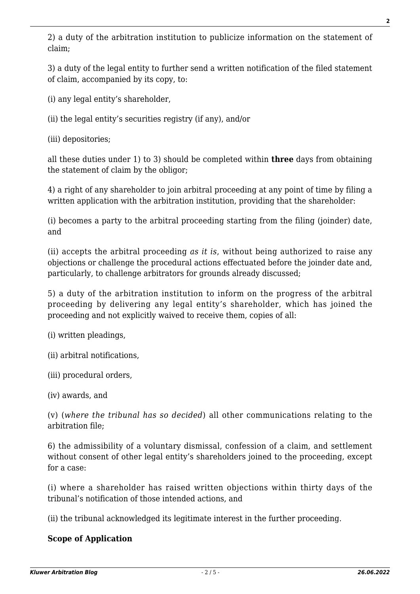2) a duty of the arbitration institution to publicize information on the statement of claim;

3) a duty of the legal entity to further send a written notification of the filed statement of claim, accompanied by its copy, to:

(i) any legal entity's shareholder,

(ii) the legal entity's securities registry (if any), and/or

(iii) depositories;

all these duties under 1) to 3) should be completed within **three** days from obtaining the statement of claim by the obligor;

4) a right of any shareholder to join arbitral proceeding at any point of time by filing a written application with the arbitration institution, providing that the shareholder:

(i) becomes a party to the arbitral proceeding starting from the filing (joinder) date, and

(ii) accepts the arbitral proceeding *as it is*, without being authorized to raise any objections or challenge the procedural actions effectuated before the joinder date and, particularly, to challenge arbitrators for grounds already discussed;

5) a duty of the arbitration institution to inform on the progress of the arbitral proceeding by delivering any legal entity's shareholder, which has joined the proceeding and not explicitly waived to receive them, copies of all:

(i) written pleadings,

(ii) arbitral notifications,

(iii) procedural orders,

(iv) awards, and

(v) (*where the tribunal has so decided*) all other communications relating to the arbitration file;

6) the admissibility of a voluntary dismissal, confession of a claim, and settlement without consent of other legal entity's shareholders joined to the proceeding, except for a case:

(i) where a shareholder has raised written objections within thirty days of the tribunal's notification of those intended actions, and

(ii) the tribunal acknowledged its legitimate interest in the further proceeding.

#### **Scope of Application**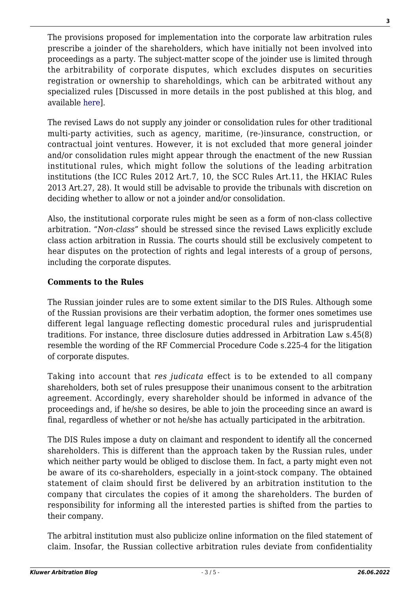The provisions proposed for implementation into the corporate law arbitration rules prescribe a joinder of the shareholders, which have initially not been involved into proceedings as a party. The subject-matter scope of the joinder use is limited through the arbitrability of corporate disputes, which excludes disputes on securities registration or ownership to shareholdings, which can be arbitrated without any specialized rules [Discussed in more details in the post published at this blog, and available [here\]](http://kluwerarbitrationblog.com/2015/10/21/the-reform-of-the-russian-arbitration-law-the-arbitrability-of-corporate-disputes/).

The revised Laws do not supply any joinder or consolidation rules for other traditional multi-party activities, such as agency, maritime, (re-)insurance, construction, or contractual joint ventures. However, it is not excluded that more general joinder and/or consolidation rules might appear through the enactment of the new Russian institutional rules, which might follow the solutions of the leading arbitration institutions (the ICC Rules 2012 Art.7, 10, the SCC Rules Art.11, the HKIAC Rules 2013 Art.27, 28). It would still be advisable to provide the tribunals with discretion on deciding whether to allow or not a joinder and/or consolidation.

Also, the institutional corporate rules might be seen as a form of non-class collective arbitration. "*Non-class*" should be stressed since the revised Laws explicitly exclude class action arbitration in Russia. The courts should still be exclusively competent to hear disputes on the protection of rights and legal interests of a group of persons, including the corporate disputes.

#### **Comments to the Rules**

The Russian joinder rules are to some extent similar to the DIS Rules. Although some of the Russian provisions are their verbatim adoption, the former ones sometimes use different legal language reflecting domestic procedural rules and jurisprudential traditions. For instance, three disclosure duties addressed in Arbitration Law s.45(8) resemble the wording of the RF Commercial Procedure Code s.225-4 for the litigation of corporate disputes.

Taking into account that *res judicata* effect is to be extended to all company shareholders, both set of rules presuppose their unanimous consent to the arbitration agreement. Accordingly, every shareholder should be informed in advance of the proceedings and, if he/she so desires, be able to join the proceeding since an award is final, regardless of whether or not he/she has actually participated in the arbitration.

The DIS Rules impose a duty on claimant and respondent to identify all the concerned shareholders. This is different than the approach taken by the Russian rules, under which neither party would be obliged to disclose them. In fact, a party might even not be aware of its co-shareholders, especially in a joint-stock company. The obtained statement of claim should first be delivered by an arbitration institution to the company that circulates the copies of it among the shareholders. The burden of responsibility for informing all the interested parties is shifted from the parties to their company.

The arbitral institution must also publicize online information on the filed statement of claim. Insofar, the Russian collective arbitration rules deviate from confidentiality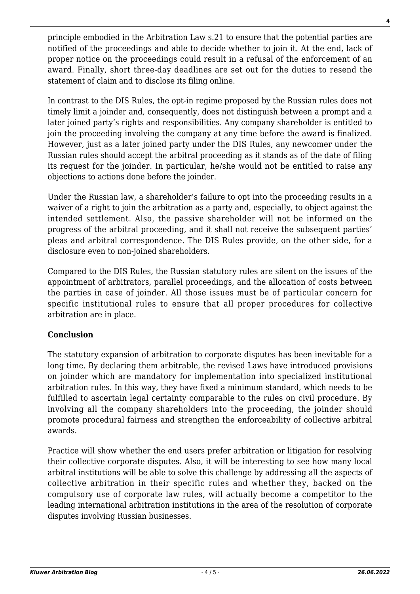principle embodied in the Arbitration Law s.21 to ensure that the potential parties are notified of the proceedings and able to decide whether to join it. At the end, lack of proper notice on the proceedings could result in a refusal of the enforcement of an award. Finally, short three-day deadlines are set out for the duties to resend the statement of claim and to disclose its filing online.

In contrast to the DIS Rules, the opt-in regime proposed by the Russian rules does not timely limit a joinder and, consequently, does not distinguish between a prompt and a later joined party's rights and responsibilities. Any company shareholder is entitled to join the proceeding involving the company at any time before the award is finalized. However, just as a later joined party under the DIS Rules, any newcomer under the Russian rules should accept the arbitral proceeding as it stands as of the date of filing its request for the joinder. In particular, he/she would not be entitled to raise any objections to actions done before the joinder.

Under the Russian law, a shareholder's failure to opt into the proceeding results in a waiver of a right to join the arbitration as a party and, especially, to object against the intended settlement. Also, the passive shareholder will not be informed on the progress of the arbitral proceeding, and it shall not receive the subsequent parties' pleas and arbitral correspondence. The DIS Rules provide, on the other side, for a disclosure even to non-joined shareholders.

Compared to the DIS Rules, the Russian statutory rules are silent on the issues of the appointment of arbitrators, parallel proceedings, and the allocation of costs between the parties in case of joinder. All those issues must be of particular concern for specific institutional rules to ensure that all proper procedures for collective arbitration are in place.

### **Conclusion**

The statutory expansion of arbitration to corporate disputes has been inevitable for a long time. By declaring them arbitrable, the revised Laws have introduced provisions on joinder which are mandatory for implementation into specialized institutional arbitration rules. In this way, they have fixed a minimum standard, which needs to be fulfilled to ascertain legal certainty comparable to the rules on civil procedure. By involving all the company shareholders into the proceeding, the joinder should promote procedural fairness and strengthen the enforceability of collective arbitral awards.

Practice will show whether the end users prefer arbitration or litigation for resolving their collective corporate disputes. Also, it will be interesting to see how many local arbitral institutions will be able to solve this challenge by addressing all the aspects of collective arbitration in their specific rules and whether they, backed on the compulsory use of corporate law rules, will actually become a competitor to the leading international arbitration institutions in the area of the resolution of corporate disputes involving Russian businesses.